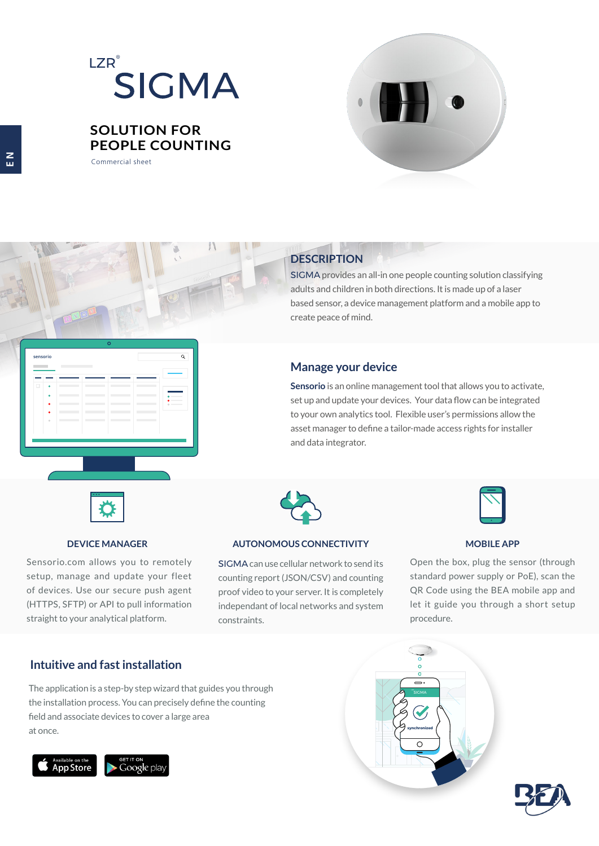# $\mathsf{LZR}^\circ$ SIGMA

## **SOLUTION FOR PEOPLE COUNTING**

 $\circ$ 

Commercial sheet



# **DESCRIPTION**

SIGMA provides an all-in one people counting solution classifying adults and children in both directions. It is made up of a laser based sensor, a device management platform and a mobile app to create peace of mind.

### **Manage your device**

**Sensorio** is an online management tool that allows you to activate, set up and update your devices. Your data flow can be integrated to your own analytics tool. Flexible user's permissions allow the asset manager to define a tailor-made access rights for installer and data integrator.



Sensorio.com allows you to remotely setup, manage and update your fleet of devices. Use our secure push agent (HTTPS, SFTP) or API to pull information straight to your analytical platform.



### **DEVICE MANAGER AUTONOMOUS CONNECTIVITY MOBILE APP**

SIGMA can use cellular network to send its counting report (JSON/CSV) and counting proof video to your server. It is completely independant of local networks and system constraints.



Open the box, plug the sensor (through standard power supply or PoE), scan the QR Code using the BEA mobile app and let it guide you through a short setup procedure.

### **Intuitive and fast installation**

The application is a step-by step wizard that guides you through the installation process. You can precisely define the counting field and associate devices to cover a large area at once.







**sensorio**